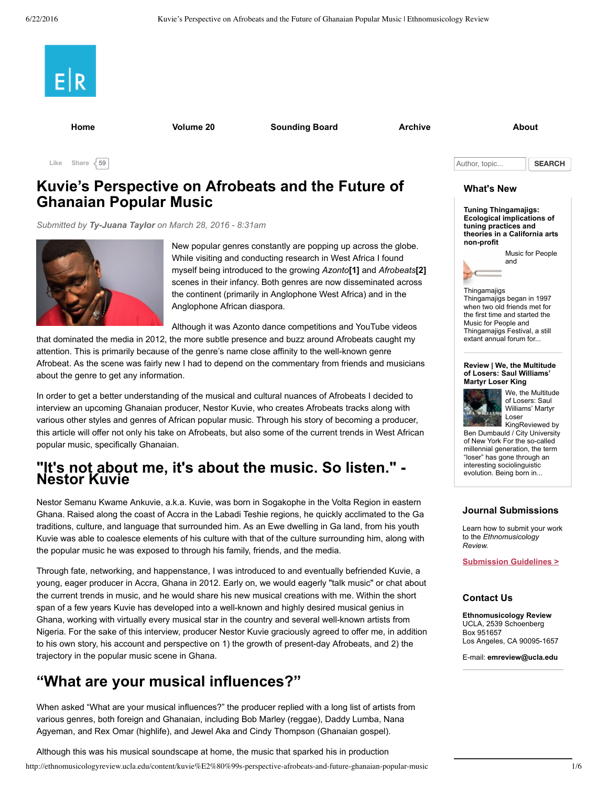

**[Home](http://ethnomusicologyreview.ucla.edu/home) [Volume](http://ethnomusicologyreview.ucla.edu/journal/volume/20) 20 [Sounding](http://ethnomusicologyreview.ucla.edu/sounding-board) Board [Archive](http://ethnomusicologyreview.ucla.edu/archive) [About](http://ethnomusicologyreview.ucla.edu/about)**

Like Share  $\sqrt{59}$ 

### **Kuvie's Perspective on Afrobeats and the Future of Ghanaian Popular Music**

*Submitted by [TyJuana](http://ethnomusicologyreview.ucla.edu/users/ty-juana-taylor) Taylor on March 28, 2016 8:31am*



New popular genres constantly are popping up across the globe. While visiting and conducting research in West Africa I found myself being introduced to the growing *Azonto***[\[1\]](#page-4-0)** and *Afrobeats***[\[2\]](#page-4-1)** scenes in their infancy. Both genres are now disseminated across the continent (primarily in Anglophone West Africa) and in the Anglophone African diaspora.

Although it was Azonto dance competitions and YouTube videos

that dominated the media in 2012, the more subtle presence and buzz around Afrobeats caught my attention. This is primarily because of the genre's name close affinity to the well-known genre Afrobeat. As the scene was fairly new I had to depend on the commentary from friends and musicians about the genre to get any information.

In order to get a better understanding of the musical and cultural nuances of Afrobeats I decided to interview an upcoming Ghanaian producer, Nestor Kuvie, who creates Afrobeats tracks along with various other styles and genres of African popular music. Through his story of becoming a producer, this article will offer not only his take on Afrobeats, but also some of the current trends in West African popular music, specifically Ghanaian.

# **"It's not about me, it's about the music. So listen." Nestor Kuvie**

Nestor Semanu Kwame Ankuvie, a.k.a. Kuvie, was born in Sogakophe in the Volta Region in eastern Ghana. Raised along the coast of Accra in the Labadi Teshie regions, he quickly acclimated to the Ga traditions, culture, and language that surrounded him. As an Ewe dwelling in Ga land, from his youth Kuvie was able to coalesce elements of his culture with that of the culture surrounding him, along with the popular music he was exposed to through his family, friends, and the media.

Through fate, networking, and happenstance, I was introduced to and eventually befriended Kuvie, a young, eager producer in Accra, Ghana in 2012. Early on, we would eagerly "talk music" or chat about the current trends in music, and he would share his new musical creations with me. Within the short span of a few years Kuvie has developed into a well-known and highly desired musical genius in Ghana, working with virtually every musical star in the country and several well-known artists from Nigeria. For the sake of this interview, producer Nestor Kuvie graciously agreed to offer me, in addition to his own story, his account and perspective on 1) the growth of present-day Afrobeats, and 2) the trajectory in the popular music scene in Ghana.

# **"What are your musical influences?"**

When asked "What are your musical influences?" the producer replied with a long list of artists from various genres, both foreign and Ghanaian, including Bob Marley (reggae), Daddy Lumba, Nana Agyeman, and Rex Omar (highlife), and Jewel Aka and Cindy Thompson (Ghanaian gospel).

http://ethnomusicologyreview.ucla.edu/content/kuvie%E2%80%99s-perspective-afrobeats-and-future-ghanaian-popular-music 1/6 Although this was his musical soundscape at home, the music that sparked his in production

Author, topic... **SEARCH** 

#### **What's New**

**Tuning [Thingamajigs:](http://ethnomusicologyreview.ucla.edu/content/tuning-thingamajigs-ecological-implications-tuning-practices-and-theories-california-arts) Ecological implications of tuning practices and theories in a California arts nonprofit**



<span id="page-0-1"></span><span id="page-0-0"></span>

#### **Review | We, the [Multitude](http://ethnomusicologyreview.ucla.edu/content/review-we-multitude-losers-saul-williams%E2%80%99-martyr-loser-king) of Losers: Saul Williams' Martyr Loser King**



We, the Multitude of Losers: Saul Williams' Martyr Loser KingReviewed by

Ben Dumbauld / City University of New York For the so-called millennial generation, the term "loser" has gone through an interesting sociolinguistic evolution. Being born in...

#### **Journal Submissions**

Learn how to submit your work to the *Ethnomusicology Review.*

**[Submission](http://ethnomusicologyreview.ucla.edu/submission-guidelines) Guidelines >**

#### **Contact Us**

**Ethnomusicology Review** UCLA, 2539 Schoenberg Box 951657 Los Angeles, CA 90095-1657

Email: **[emreview@ucla.edu](mailto:emreview@ucla.edu)**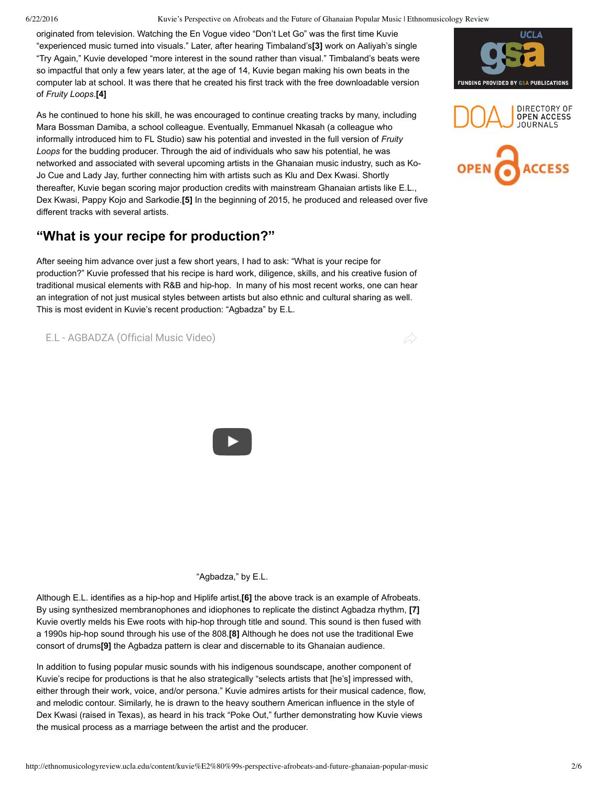#### 6/22/2016 Kuvie's Perspective on Afrobeats and the Future of Ghanaian Popular Music | Ethnomusicology Review

originated from television. Watching the En Vogue video "Don't Let Go" was the first time Kuvie "experienced music turned into visuals." Later, after hearing Timbaland's**[\[3\]](#page-4-2)** work on Aaliyah's single "Try Again," Kuvie developed "more interest in the sound rather than visual." Timbaland's beats were so impactful that only a few years later, at the age of 14, Kuvie began making his own beats in the computer lab at school. It was there that he created his first track with the free downloadable version of *Fruity Loops*.**[\[4\]](#page-4-3)**

<span id="page-1-1"></span>As he continued to hone his skill, he was encouraged to continue creating tracks by many, including Mara Bossman Damiba, a school colleague. Eventually, Emmanuel Nkasah (a colleague who informally introduced him to FL Studio) saw his potential and invested in the full version of *Fruity Loops* for the budding producer. Through the aid of individuals who saw his potential, he was networked and associated with several upcoming artists in the Ghanaian music industry, such as Ko-Jo Cue and Lady Jay, further connecting him with artists such as Klu and Dex Kwasi. Shortly thereafter, Kuvie began scoring major production credits with mainstream Ghanaian artists like E.L., Dex Kwasi, Pappy Kojo and Sarkodie.**[\[5\]](#page-4-0)** In the beginning of 2015, he produced and released over five different tracks with several artists.

### **"What is your recipe for production?"**

After seeing him advance over just a few short years, I had to ask: "What is your recipe for production?" Kuvie professed that his recipe is hard work, diligence, skills, and his creative fusion of traditional musical elements with R&B and hiphop. In many of his most recent works, one can hear an integration of not just musical styles between artists but also ethnic and cultural sharing as well. This is most evident in Kuvie's recent production: "Agbadza" by E.L.

E.L - [AGBADZA](https://www.youtube.com/watch?v=pjFjLnn8RBI) (Official Music Video)



"Agbadza," by E.L.

Although E.L. identifies as a hiphop and Hiplife artist,**[\[6\]](#page-4-0)** the above track is an example of Afrobeats. By using synthesized membranophones and idiophones to replicate the distinct Agbadza rhythm, **[\[7\]](#page-4-1)** Kuvie overtly melds his Ewe roots with hip-hop through title and sound. This sound is then fused with a 1990s hiphop sound through his use of the 808.**[\[8\]](#page-4-2)** Although he does not use the traditional Ewe consort of drums**[\[9\]](#page-4-3)** the Agbadza pattern is clear and discernable to its Ghanaian audience.

In addition to fusing popular music sounds with his indigenous soundscape, another component of Kuvie's recipe for productions is that he also strategically "selects artists that [he's] impressed with, either through their work, voice, and/or persona." Kuvie admires artists for their musical cadence, flow, and melodic contour. Similarly, he is drawn to the heavy southern American influence in the style of Dex Kwasi (raised in Texas), as heard in his track "Poke Out," further demonstrating how Kuvie views the musical process as a marriage between the artist and the producer.

<span id="page-1-0"></span>



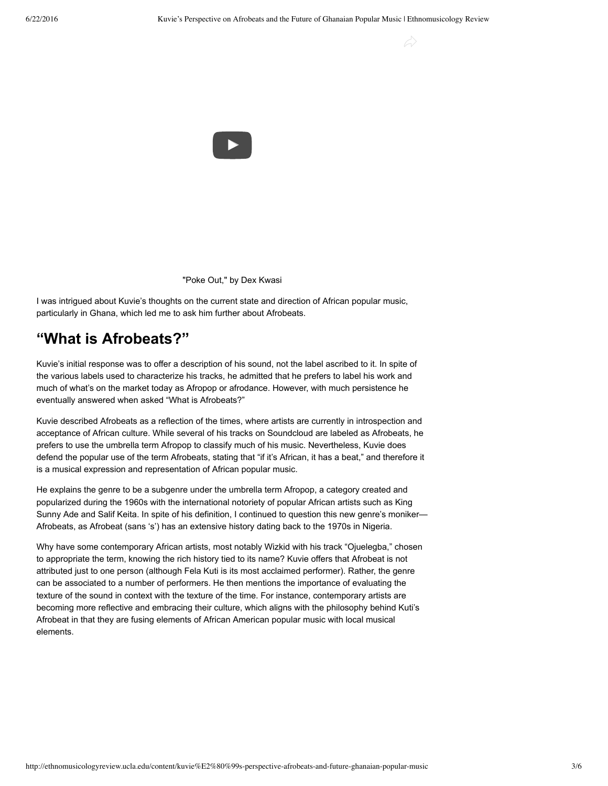$\varphi$ 



"Poke Out," by Dex Kwasi

I was intrigued about Kuvie's thoughts on the current state and direction of African popular music, particularly in Ghana, which led me to ask him further about Afrobeats.

### **"What is Afrobeats?"**

Kuvie's initial response was to offer a description of his sound, not the label ascribed to it. In spite of the various labels used to characterize his tracks, he admitted that he prefers to label his work and much of what's on the market today as Afropop or afrodance. However, with much persistence he eventually answered when asked "What is Afrobeats?"

Kuvie described Afrobeats as a reflection of the times, where artists are currently in introspection and acceptance of African culture. While several of his tracks on Soundcloud are labeled as Afrobeats, he prefers to use the umbrella term Afropop to classify much of his music. Nevertheless, Kuvie does defend the popular use of the term Afrobeats, stating that "if it's African, it has a beat," and therefore it is a musical expression and representation of African popular music.

He explains the genre to be a subgenre under the umbrella term Afropop, a category created and popularized during the 1960s with the international notoriety of popular African artists such as King Sunny Ade and Salif Keita. In spite of his definition, I continued to question this new genre's moniker— Afrobeats, as Afrobeat (sans 's') has an extensive history dating back to the 1970s in Nigeria.

Why have some contemporary African artists, most notably Wizkid with his track "Ojuelegba," chosen to appropriate the term, knowing the rich history tied to its name? Kuvie offers that Afrobeat is not attributed just to one person (although Fela Kuti is its most acclaimed performer). Rather, the genre can be associated to a number of performers. He then mentions the importance of evaluating the texture of the sound in context with the texture of the time. For instance, contemporary artists are becoming more reflective and embracing their culture, which aligns with the philosophy behind Kuti's Afrobeat in that they are fusing elements of African American popular music with local musical elements.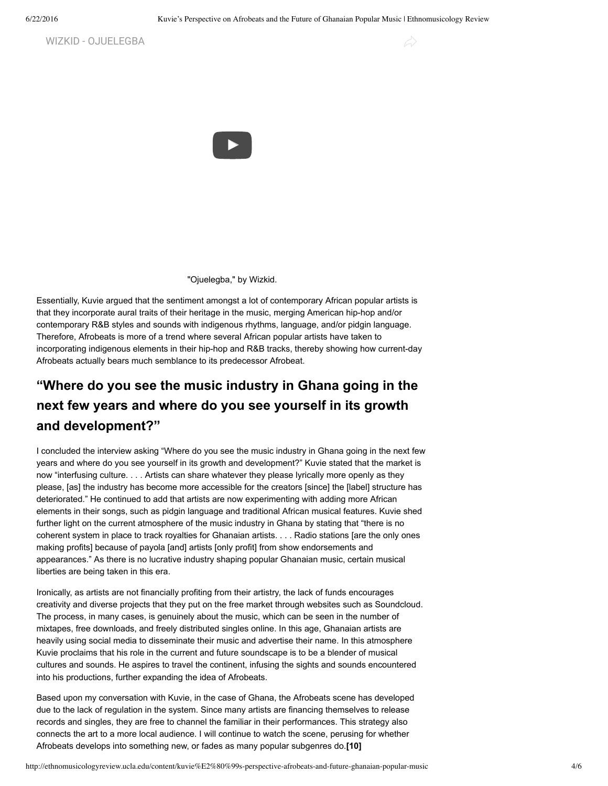WIZKID - [OJUELEGBA](https://www.youtube.com/watch?v=Q7QiLceJSLQ)



"Ojuelegba," by Wizkid.

Essentially, Kuvie argued that the sentiment amongst a lot of contemporary African popular artists is that they incorporate aural traits of their heritage in the music, merging American hiphop and/or contemporary R&B styles and sounds with indigenous rhythms, language, and/or pidgin language. Therefore, Afrobeats is more of a trend where several African popular artists have taken to incorporating indigenous elements in their hip-hop and R&B tracks, thereby showing how current-day Afrobeats actually bears much semblance to its predecessor Afrobeat.

# **"Where do you see the music industry in Ghana going in the next few years and where do you see yourself in its growth and development?"**

I concluded the interview asking "Where do you see the music industry in Ghana going in the next few years and where do you see yourself in its growth and development?" Kuvie stated that the market is now "interfusing culture. . . . Artists can share whatever they please lyrically more openly as they please, [as] the industry has become more accessible for the creators [since] the [label] structure has deteriorated." He continued to add that artists are now experimenting with adding more African elements in their songs, such as pidgin language and traditional African musical features. Kuvie shed further light on the current atmosphere of the music industry in Ghana by stating that "there is no coherent system in place to track royalties for Ghanaian artists. . . . Radio stations [are the only ones making profits] because of payola [and] artists [only profit] from show endorsements and appearances." As there is no lucrative industry shaping popular Ghanaian music, certain musical liberties are being taken in this era.

Ironically, as artists are not financially profiting from their artistry, the lack of funds encourages creativity and diverse projects that they put on the free market through websites such as Soundcloud. The process, in many cases, is genuinely about the music, which can be seen in the number of mixtapes, free downloads, and freely distributed singles online. In this age, Ghanaian artists are heavily using social media to disseminate their music and advertise their name. In this atmosphere Kuvie proclaims that his role in the current and future soundscape is to be a blender of musical cultures and sounds. He aspires to travel the continent, infusing the sights and sounds encountered into his productions, further expanding the idea of Afrobeats.

<span id="page-3-0"></span>Based upon my conversation with Kuvie, in the case of Ghana, the Afrobeats scene has developed due to the lack of regulation in the system. Since many artists are financing themselves to release records and singles, they are free to channel the familiar in their performances. This strategy also connects the art to a more local audience. I will continue to watch the scene, perusing for whether Afrobeats develops into something new, or fades as many popular subgenres do.**[\[10\]](#page-4-4)**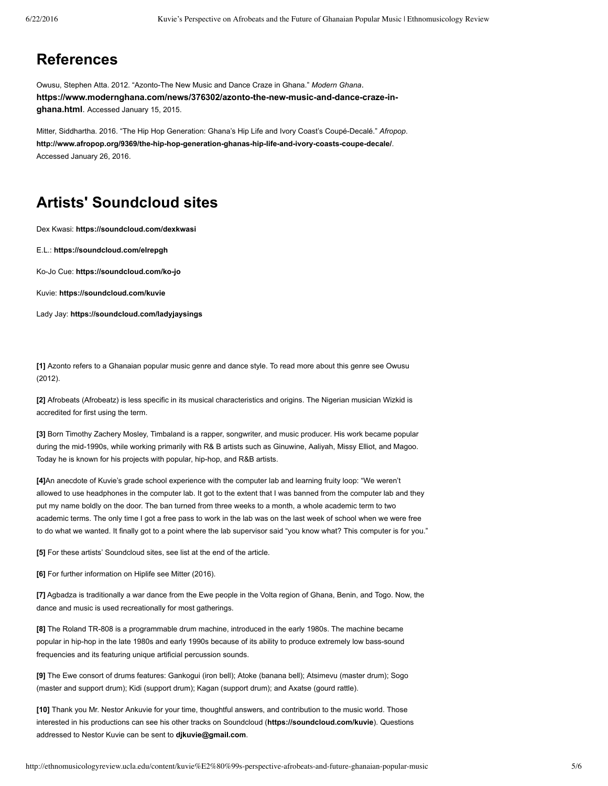### **References**

Owusu, Stephen Atta. 2012. "Azonto-The New Music and Dance Craze in Ghana." Modern Ghana. https://www.modernghana.com/news/376302/azonto-the-new-music-and-dance-craze-in**ghana.html**. Accessed January 15, 2015.

Mitter, Siddhartha. 2016. "The Hip Hop Generation: Ghana's Hip Life and Ivory Coast's Coupé-Decalé." Afropop. http://www.afropop.org/9369/the-hip-hop-generation-ghanas-hip-life-and-ivory-coasts-coupe-decale/. Accessed January 26, 2016.

## **Artists' Soundcloud sites**

Dex Kwasi: **<https://soundcloud.com/dexkwasi>**

E.L.: **<https://soundcloud.com/elrepgh>**

Ko-Jo Cue: https://soundcloud.com/ko-jo

Kuvie: **<https://soundcloud.com/kuvie>**

Lady Jay: **<https://soundcloud.com/ladyjaysings>**

<span id="page-4-0"></span>**[\[1\]](#page-0-0)** Azonto refers to a Ghanaian popular music genre and dance style. To read more about this genre see Owusu (2012).

<span id="page-4-1"></span>**[\[2\]](#page-0-1)** Afrobeats (Afrobeatz) is less specific in its musical characteristics and origins. The Nigerian musician Wizkid is accredited for first using the term.

<span id="page-4-2"></span>**[\[3\]](#page-1-0)** Born Timothy Zachery Mosley, Timbaland is a rapper, songwriter, and music producer. His work became popular during the mid-1990s, while working primarily with R& B artists such as Ginuwine, Aaliyah, Missy Elliot, and Magoo. Today he is known for his projects with popular, hip-hop, and R&B artists.

<span id="page-4-3"></span>**[\[4\]](#page-1-1)**An anecdote of Kuvie's grade school experience with the computer lab and learning fruity loop: "We weren't allowed to use headphones in the computer lab. It got to the extent that I was banned from the computer lab and they put my name boldly on the door. The ban turned from three weeks to a month, a whole academic term to two academic terms. The only time I got a free pass to work in the lab was on the last week of school when we were free to do what we wanted. It finally got to a point where the lab supervisor said "you know what? This computer is for you."

**[\[5\]](#page-0-0)** For these artists' Soundcloud sites, see list at the end of the article.

**[\[6\]](#page-0-0)** For further information on Hiplife see Mitter (2016).

**[\[7\]](#page-0-1)** Agbadza is traditionally a war dance from the Ewe people in the Volta region of Ghana, Benin, and Togo. Now, the dance and music is used recreationally for most gatherings.

[\[8\]](#page-1-0) The Roland TR-808 is a programmable drum machine, introduced in the early 1980s. The machine became popular in hip-hop in the late 1980s and early 1990s because of its ability to produce extremely low bass-sound frequencies and its featuring unique artificial percussion sounds.

**[\[9\]](#page-1-1)** The Ewe consort of drums features: Gankogui (iron bell); Atoke (banana bell); Atsimevu (master drum); Sogo (master and support drum); Kidi (support drum); Kagan (support drum); and Axatse (gourd rattle).

<span id="page-4-4"></span>**[\[10\]](#page-3-0)** Thank you Mr. Nestor Ankuvie for your time, thoughtful answers, and contribution to the music world. Those interested in his productions can see his other tracks on Soundcloud (**<https://soundcloud.com/kuvie>**). Questions addressed to Nestor Kuvie can be sent to **[djkuvie@gmail.com](mailto:djkuvie@gmail.com)**.